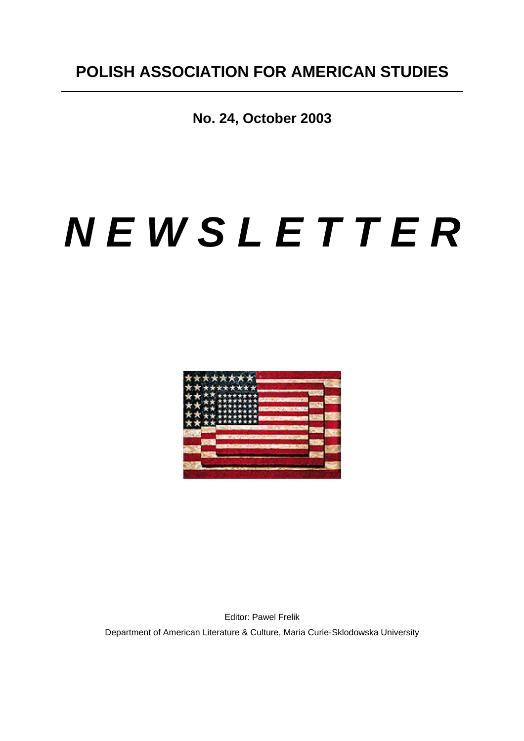**No. 24, October 2003**

# *N E W S L E T T E R*



Editor: Pawel Frelik Department of American Literature & Culture, Maria Curie-Sklodowska University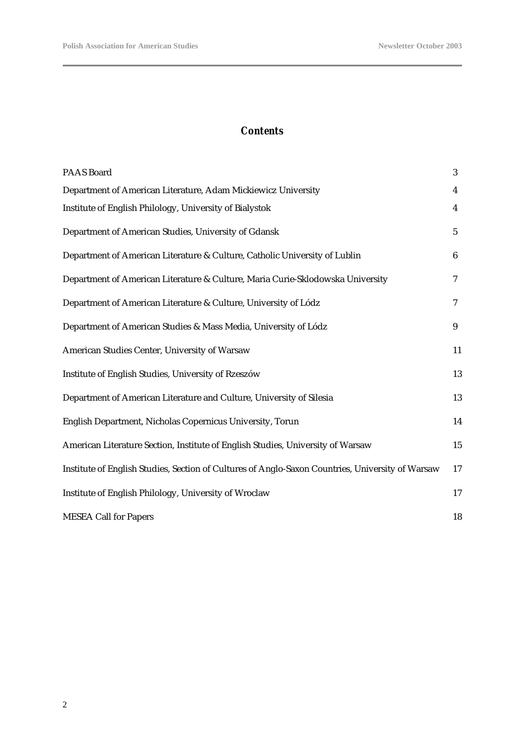#### *Contents*

| <b>PAAS Board</b>                                                                                | 3                       |
|--------------------------------------------------------------------------------------------------|-------------------------|
| Department of American Literature, Adam Mickiewicz University                                    | $\overline{\mathbf{4}}$ |
| Institute of English Philology, University of Bialystok                                          | $\overline{4}$          |
| Department of American Studies, University of Gdansk                                             | $\mathbf{5}$            |
| Department of American Literature & Culture, Catholic University of Lublin                       | $6\phantom{.0}$         |
| Department of American Literature & Culture, Maria Curie-Sklodowska University                   | $\tau$                  |
| Department of American Literature & Culture, University of Lódz                                  | $\tau$                  |
| Department of American Studies & Mass Media, University of Lódz                                  | 9                       |
| American Studies Center, University of Warsaw                                                    | 11                      |
| Institute of English Studies, University of Rzeszów                                              | 13                      |
| Department of American Literature and Culture, University of Silesia                             | 13                      |
| English Department, Nicholas Copernicus University, Torun                                        | 14                      |
| American Literature Section, Institute of English Studies, University of Warsaw                  | 15                      |
| Institute of English Studies, Section of Cultures of Anglo-Saxon Countries, University of Warsaw | 17                      |
| Institute of English Philology, University of Wroclaw                                            | 17                      |
| <b>MESEA Call for Papers</b>                                                                     | 18                      |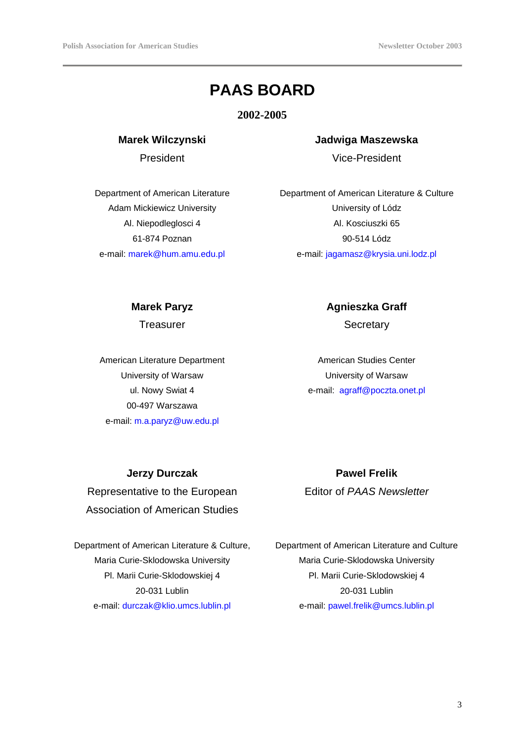# **PAAS BOARD**

**2002-2005**

**Marek Wilczynski**

President

Department of American Literature Adam Mickiewicz University Al. Niepodleglosci 4 61-874 Poznan e-mail: marek@hum.amu.edu.pl

## **Jadwiga Maszewska** Vice-President

Department of American Literature & Culture University of Lódz Al. Kosciuszki 65 90-514 Lódz e-mail: jagamasz@krysia.uni.lodz.pl

#### **Marek Paryz**

**Treasurer** 

American Literature Department University of Warsaw ul. Nowy Swiat 4 00-497 Warszawa e-mail: m.a.paryz@uw.edu.pl

**Agnieszka Graff** 

**Secretary** 

American Studies Center University of Warsaw e-mail: agraff@poczta.onet.pl

**Jerzy Durczak**

Representative to the European Association of American Studies

Department of American Literature & Culture, Maria Curie-Sklodowska University Pl. Marii Curie-Sklodowskiej 4 20-031 Lublin e-mail: durczak@klio.umcs.lublin.pl

**Pawel Frelik**  Editor of *PAAS Newsletter*

Department of American Literature and Culture Maria Curie-Sklodowska University Pl. Marii Curie-Sklodowskiej 4 20-031 Lublin e-mail: pawel.frelik@umcs.lublin.pl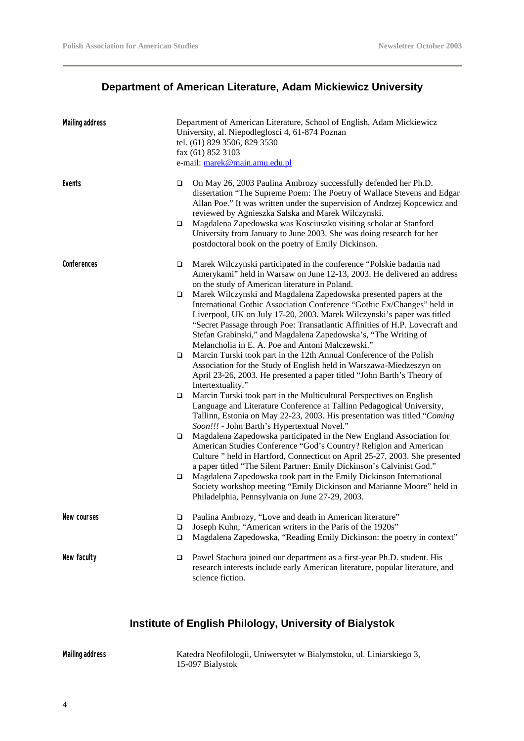## **Department of American Literature, Adam Mickiewicz University**

| <b>Mailing address</b> |             | Department of American Literature, School of English, Adam Mickiewicz<br>University, al. Niepodleglosci 4, 61-874 Poznan<br>tel. (61) 829 3506, 829 3530<br>fax (61) 852 3103<br>e-mail: marek@main.amu.edu.pl                                                                                                                                                                                                              |
|------------------------|-------------|-----------------------------------------------------------------------------------------------------------------------------------------------------------------------------------------------------------------------------------------------------------------------------------------------------------------------------------------------------------------------------------------------------------------------------|
| Events                 | □           | On May 26, 2003 Paulina Ambrozy successfully defended her Ph.D.<br>dissertation "The Supreme Poem: The Poetry of Wallace Stevens and Edgar<br>Allan Poe." It was written under the supervision of Andrzej Kopcewicz and<br>reviewed by Agnieszka Salska and Marek Wilczynski.                                                                                                                                               |
|                        | $\Box$      | Magdalena Zapedowska was Kosciuszko visiting scholar at Stanford<br>University from January to June 2003. She was doing research for her<br>postdoctoral book on the poetry of Emily Dickinson.                                                                                                                                                                                                                             |
| Conferences            | □           | Marek Wilczynski participated in the conference "Polskie badania nad<br>Amerykami" held in Warsaw on June 12-13, 2003. He delivered an address<br>on the study of American literature in Poland.                                                                                                                                                                                                                            |
|                        | □           | Marek Wilczynski and Magdalena Zapedowska presented papers at the<br>International Gothic Association Conference "Gothic Ex/Changes" held in<br>Liverpool, UK on July 17-20, 2003. Marek Wilczynski's paper was titled<br>"Secret Passage through Poe: Transatlantic Affinities of H.P. Lovecraft and<br>Stefan Grabinski," and Magdalena Zapedowska's, "The Writing of<br>Melancholia in E. A. Poe and Antoni Malczewski." |
|                        | □           | Marcin Turski took part in the 12th Annual Conference of the Polish<br>Association for the Study of English held in Warszawa-Miedzeszyn on<br>April 23-26, 2003. He presented a paper titled "John Barth's Theory of<br>Intertextuality."                                                                                                                                                                                   |
|                        | □           | Marcin Turski took part in the Multicultural Perspectives on English<br>Language and Literature Conference at Tallinn Pedagogical University,<br>Tallinn, Estonia on May 22-23, 2003. His presentation was titled "Coming                                                                                                                                                                                                   |
|                        | □           | Soon!!! - John Barth's Hypertextual Novel."<br>Magdalena Zapedowska participated in the New England Association for<br>American Studies Conference "God's Country? Religion and American<br>Culture " held in Hartford, Connecticut on April 25-27, 2003. She presented<br>a paper titled "The Silent Partner: Emily Dickinson's Calvinist God."                                                                            |
|                        | □           | Magdalena Zapedowska took part in the Emily Dickinson International<br>Society workshop meeting "Emily Dickinson and Marianne Moore" held in<br>Philadelphia, Pennsylvania on June 27-29, 2003.                                                                                                                                                                                                                             |
| New courses            | ❏<br>□<br>□ | Paulina Ambrozy, "Love and death in American literature"<br>Joseph Kuhn, "American writers in the Paris of the 1920s"<br>Magdalena Zapedowska, "Reading Emily Dickinson: the poetry in context"                                                                                                                                                                                                                             |
| New faculty            | □           | Pawel Stachura joined our department as a first-year Ph.D. student. His<br>research interests include early American literature, popular literature, and<br>science fiction.                                                                                                                                                                                                                                                |

#### **Institute of English Philology, University of Bialystok**

**Mailing address** Katedra Neofilologii, Uniwersytet w Bialymstoku, ul. Liniarskiego 3, 15-097 Bialystok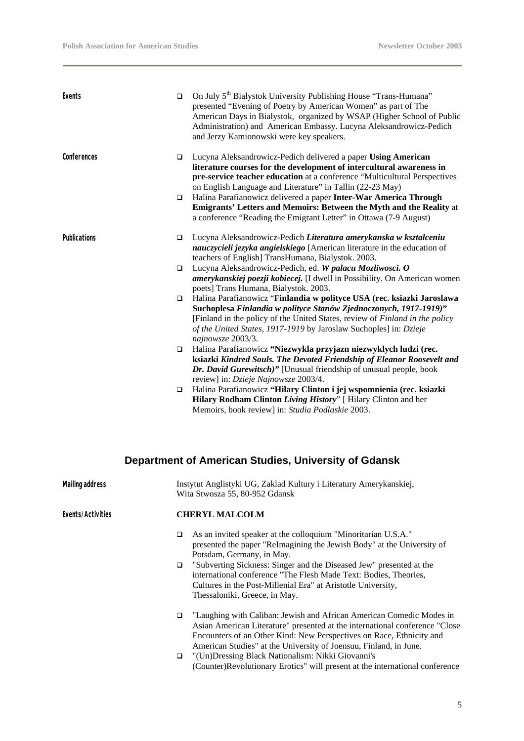| Events              | $\Box$ | On July 5 <sup>th</sup> Bialystok University Publishing House "Trans-Humana"<br>presented "Evening of Poetry by American Women" as part of The<br>American Days in Bialystok, organized by WSAP (Higher School of Public<br>Administration) and American Embassy. Lucyna Aleksandrowicz-Pedich<br>and Jerzy Kamionowski were key speakers. |
|---------------------|--------|--------------------------------------------------------------------------------------------------------------------------------------------------------------------------------------------------------------------------------------------------------------------------------------------------------------------------------------------|
| Conferences         | □      | Lucyna Aleksandrowicz-Pedich delivered a paper Using American<br>literature courses for the development of intercultural awareness in<br>pre-service teacher education at a conference "Multicultural Perspectives<br>on English Language and Literature" in Tallin (22-23 May)                                                            |
|                     | $\Box$ | Halina Parafianowicz delivered a paper Inter-War America Through<br>Emigrants' Letters and Memoirs: Between the Myth and the Reality at<br>a conference "Reading the Emigrant Letter" in Ottawa (7-9 August)                                                                                                                               |
| <b>Publications</b> | $\Box$ | Lucyna Aleksandrowicz-Pedich Literatura amerykanska w kształceniu<br>nauczycieli jezyka angielskiego [American literature in the education of<br>teachers of English] TransHumana, Bialystok. 2003.                                                                                                                                        |
|                     | $\Box$ | Lucyna Aleksandrowicz-Pedich, ed. W palacu Mozliwosci. O<br>amerykanskiej poezji kobiecej. [I dwell in Possibility. On American women<br>poets] Trans Humana, Bialystok. 2003.                                                                                                                                                             |
|                     | $\Box$ | Halina Parafianowicz "Finlandia w polityce USA (rec. ksiazki Jaroslawa<br>Suchoplesa Finlandia w polityce Stanów Zjednoczonych, 1917-1919)"<br>[Finland in the policy of the United States, review of Finland in the policy<br>of the United States, 1917-1919 by Jaroslaw Suchoples] in: Dzieje<br>najnowsze 2003/3.                      |
|                     | $\Box$ | Halina Parafianowicz "Niezwykla przyjazn niezwyklych ludzi (rec.<br>ksiazki Kindred Souls. The Devoted Friendship of Eleanor Roosevelt and<br>Dr. David Gurewitsch)" [Unusual friendship of unusual people, book<br>review] in: Dzieje Najnowsze 2003/4.                                                                                   |
|                     | $\Box$ | Halina Parafianowicz "Hilary Clinton i jej wspomnienia (rec. ksiazki<br>Hilary Rodham Clinton Living History" [ Hilary Clinton and her<br>Memoirs, book review] in: Studia Podlaskie 2003.                                                                                                                                                 |

# **Department of American Studies, University of Gdansk**

| <b>Mailing address</b> | Instytut Anglistyki UG, Zaklad Kultury i Literatury Amerykanskiej,<br>Wita Stwosza 55, 80-952 Gdansk                                                                                                                                                                                                                                                                                                                       |  |
|------------------------|----------------------------------------------------------------------------------------------------------------------------------------------------------------------------------------------------------------------------------------------------------------------------------------------------------------------------------------------------------------------------------------------------------------------------|--|
| Events/Activities      | <b>CHERYL MALCOLM</b>                                                                                                                                                                                                                                                                                                                                                                                                      |  |
|                        | As an invited speaker at the colloquium "Minoritarian U.S.A."<br>❏<br>presented the paper "ReImagining the Jewish Body" at the University of<br>Potsdam, Germany, in May.<br>"Subverting Sickness: Singer and the Diseased Jew" presented at the<br>▫<br>international conference "The Flesh Made Text: Bodies, Theories,<br>Cultures in the Post-Millenial Era" at Aristotle University,<br>Thessaloniki, Greece, in May. |  |
|                        | "Laughing with Caliban: Jewish and African American Comedic Modes in<br>□<br>Asian American Literature" presented at the international conference "Close<br>Encounters of an Other Kind: New Perspectives on Race, Ethnicity and<br>American Studies" at the University of Joensuu, Finland, in June.                                                                                                                      |  |
|                        | "(Un) Dressing Black Nationalism: Nikki Giovanni's<br>▫<br>(Counter)Revolutionary Erotics" will present at the international conference                                                                                                                                                                                                                                                                                    |  |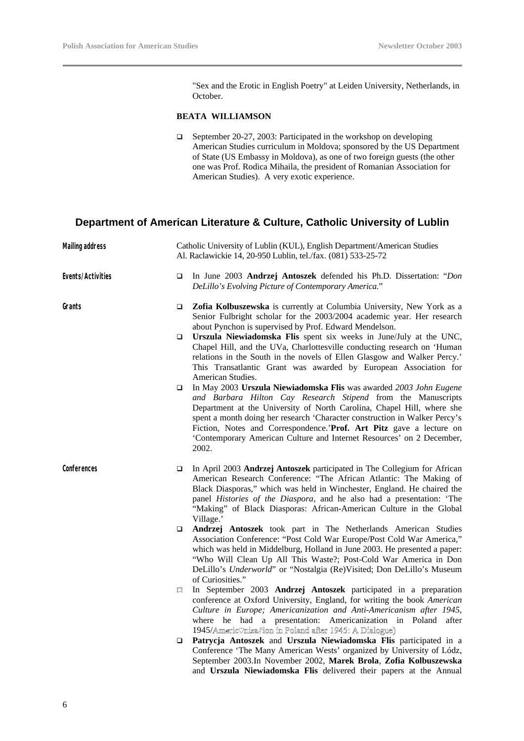"Sex and the Erotic in English Poetry" at Leiden University, Netherlands, in October.

#### **BEATA WILLIAMSON**

□ September 20-27, 2003: Participated in the workshop on developing American Studies curriculum in Moldova; sponsored by the US Department of State (US Embassy in Moldova), as one of two foreign guests (the other one was Prof. Rodica Mihaila, the president of Romanian Association for American Studies). A very exotic experience.

#### **Department of American Literature & Culture, Catholic University of Lublin**

| <b>Mailing address</b> |   | Catholic University of Lublin (KUL), English Department/American Studies<br>Al. Raclawickie 14, 20-950 Lublin, tel./fax. (081) 533-25-72                                                                                                                                                                                                                                                                                                            |
|------------------------|---|-----------------------------------------------------------------------------------------------------------------------------------------------------------------------------------------------------------------------------------------------------------------------------------------------------------------------------------------------------------------------------------------------------------------------------------------------------|
| Events/Activities      | ▫ | In June 2003 Andrzej Antoszek defended his Ph.D. Dissertation: "Don<br>DeLillo's Evolving Picture of Contemporary America."                                                                                                                                                                                                                                                                                                                         |
| Grants                 | ❏ | Zofia Kolbuszewska is currently at Columbia University, New York as a<br>Senior Fulbright scholar for the 2003/2004 academic year. Her research<br>about Pynchon is supervised by Prof. Edward Mendelson.                                                                                                                                                                                                                                           |
|                        | ▫ | Urszula Niewiadomska Flis spent six weeks in June/July at the UNC,<br>Chapel Hill, and the UVa, Charlottesville conducting research on 'Human<br>relations in the South in the novels of Ellen Glasgow and Walker Percy.'<br>This Transatlantic Grant was awarded by European Association for<br>American Studies.                                                                                                                                  |
|                        | □ | In May 2003 Urszula Niewiadomska Flis was awarded 2003 John Eugene<br>and Barbara Hilton Cay Research Stipend from the Manuscripts<br>Department at the University of North Carolina, Chapel Hill, where she<br>spent a month doing her research 'Character construction in Walker Percy's<br>Fiction, Notes and Correspondence.'Prof. Art Pitz gave a lecture on<br>'Contemporary American Culture and Internet Resources' on 2 December,<br>2002. |
| Conferences            | ▫ | In April 2003 Andrzej Antoszek participated in The Collegium for African<br>American Research Conference: "The African Atlantic: The Making of<br>Black Diasporas," which was held in Winchester, England. He chaired the<br>panel Histories of the Diaspora, and he also had a presentation: 'The<br>"Making" of Black Diasporas: African-American Culture in the Global<br>Village.'                                                              |
|                        | ▫ | Andrzej Antoszek took part in The Netherlands American Studies<br>Association Conference: "Post Cold War Europe/Post Cold War America,"<br>which was held in Middelburg, Holland in June 2003. He presented a paper:<br>"Who Will Clean Up All This Waste?; Post-Cold War America in Don<br>DeLillo's Underworld" or "Nostalgia (Re)Visited; Don DeLillo's Museum<br>of Curiosities."                                                               |
|                        | □ | In September 2003 Andrzej Antoszek participated in a preparation<br>conference at Oxford University, England, for writing the book American<br>Culture in Europe; Americanization and Anti-Americanism after 1945,<br>where he had a presentation: Americanization in Poland after<br>1945/Americ $\Diamond$ nizaJion in Poland after 1945: A Dialogue)                                                                                             |
|                        | ❏ | Patrycja Antoszek and Urszula Niewiadomska Flis participated in a<br>Conference 'The Many American Wests' organized by University of Lódz,<br>September 2003.In November 2002, Marek Brola, Zofia Kolbuszewska<br>and Urszula Niewiadomska Flis delivered their papers at the Annual                                                                                                                                                                |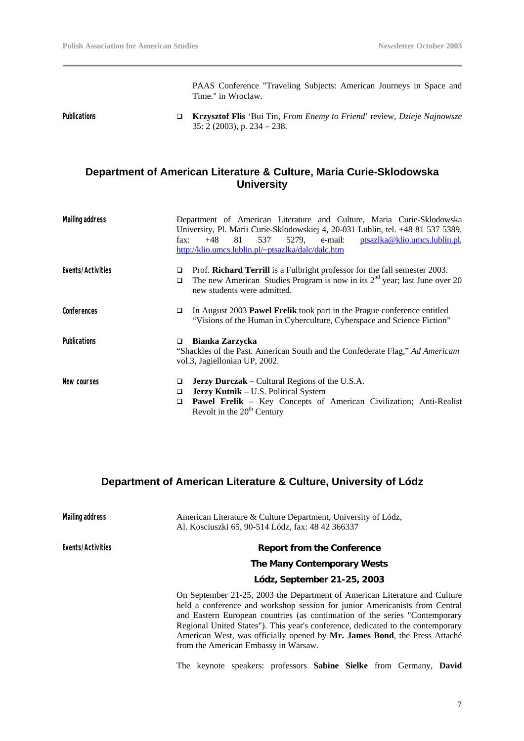PAAS Conference "Traveling Subjects: American Journeys in Space and Time." in Wroclaw.

**Publications** q **Krzysztof Flis** 'Bui Tin, *From Enemy to Friend*' review, *Dzieje Najnowsze* 35: 2 (2003), p. 234 – 238.

#### **Department of American Literature & Culture, Maria Curie-Sklodowska University**

| <b>Mailing address</b> | Department of American Literature and Culture, Maria Curie-Sklodowska<br>University, Pl. Marii Curie-Sklodowskiej 4, 20-031 Lublin, tel. +48 81 537 5389,<br>5279, e-mail: ptsazlka@klio.umcs.lublin.pl,<br>$+48$<br>81<br>537<br>fax:<br>http://klio.umcs.lublin.pl/~ptsazlka/dalc/dalc.htm |
|------------------------|----------------------------------------------------------------------------------------------------------------------------------------------------------------------------------------------------------------------------------------------------------------------------------------------|
| Events/Activities      | Prof. Richard Terrill is a Fulbright professor for the fall semester 2003.<br>□<br>The new American Studies Program is now in its $2nd$ year; last June over 20<br>▫<br>new students were admitted.                                                                                          |
| Conferences            | In August 2003 Pawel Frelik took part in the Prague conference entitled<br>❏<br>"Visions of the Human in Cyberculture, Cyberspace and Science Fiction"                                                                                                                                       |
| <b>Publications</b>    | <b>Bianka Zarzycka</b><br>□<br>"Shackles of the Past. American South and the Confederate Flag," Ad Americam<br>vol.3, Jagiellonian UP, 2002.                                                                                                                                                 |
| New courses            | <b>Jerzy Durczak</b> – Cultural Regions of the U.S.A.<br>◘<br><b>Jerzy Kutnik</b> – U.S. Political System<br>◘<br>Pawel Frelik - Key Concepts of American Civilization; Anti-Realist<br>□<br>Revolt in the $20th$ Century                                                                    |

#### **Department of American Literature & Culture, University of Lódz**

| <b>Mailing address</b> | American Literature & Culture Department, University of Lódz,<br>Al. Kosciuszki 65, 90-514 Lódz, fax: 48 42 366337                                                                                                                                                                                                                                                                                                                               |
|------------------------|--------------------------------------------------------------------------------------------------------------------------------------------------------------------------------------------------------------------------------------------------------------------------------------------------------------------------------------------------------------------------------------------------------------------------------------------------|
| Events/Activities      | <b>Report from the Conference</b>                                                                                                                                                                                                                                                                                                                                                                                                                |
|                        | The Many Contemporary Wests                                                                                                                                                                                                                                                                                                                                                                                                                      |
|                        | Lódz, September 21-25, 2003                                                                                                                                                                                                                                                                                                                                                                                                                      |
|                        | On September 21-25, 2003 the Department of American Literature and Culture<br>held a conference and workshop session for junior Americanists from Central<br>and Eastern European countries (as continuation of the series "Contemporary<br>Regional United States"). This year's conference, dedicated to the contemporary<br>American West, was officially opened by Mr. James Bond, the Press Attaché<br>from the American Embassy in Warsaw. |

The keynote speakers: professors **Sabine Sielke** from Germany, **David**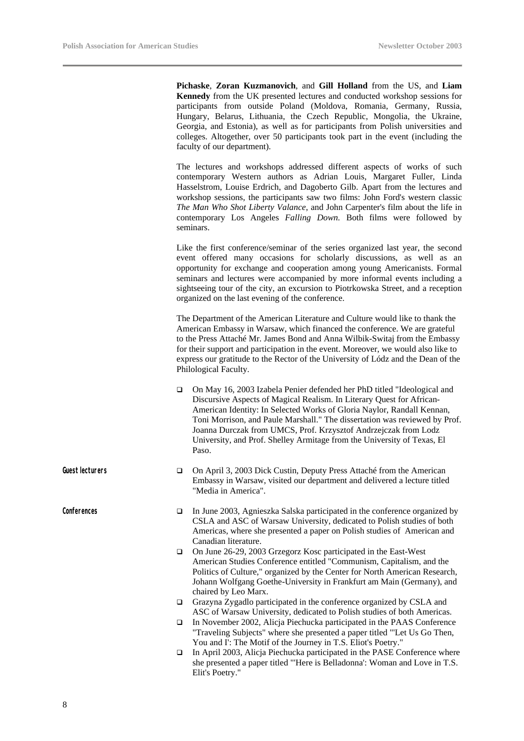**Pichaske**, **Zoran Kuzmanovich**, and **Gill Holland** from the US, and **Liam Kennedy** from the UK presented lectures and conducted workshop sessions for participants from outside Poland (Moldova, Romania, Germany, Russia, Hungary, Belarus, Lithuania, the Czech Republic, Mongolia, the Ukraine, Georgia, and Estonia), as well as for participants from Polish universities and colleges. Altogether, over 50 participants took part in the event (including the faculty of our department).

The lectures and workshops addressed different aspects of works of such contemporary Western authors as Adrian Louis, Margaret Fuller, Linda Hasselstrom, Louise Erdrich, and Dagoberto Gilb. Apart from the lectures and workshop sessions, the participants saw two films: John Ford's western classic *The Man Who Shot Liberty Valance*, and John Carpenter's film about the life in contemporary Los Angeles *Falling Down.* Both films were followed by seminars.

Like the first conference/seminar of the series organized last year, the second event offered many occasions for scholarly discussions, as well as an opportunity for exchange and cooperation among young Americanists. Formal seminars and lectures were accompanied by more informal events including a sightseeing tour of the city, an excursion to Piotrkowska Street, and a reception organized on the last evening of the conference.

The Department of the American Literature and Culture would like to thank the American Embassy in Warsaw, which financed the conference. We are grateful to the Press Attaché Mr. James Bond and Anna Wilbik-Switaj from the Embassy for their support and participation in the event. Moreover, we would also like to express our gratitude to the Rector of the University of Lódz and the Dean of the Philological Faculty.

- □ On May 16, 2003 Izabela Penier defended her PhD titled "Ideological and Discursive Aspects of Magical Realism. In Literary Quest for African-American Identity: In Selected Works of Gloria Naylor, Randall Kennan, Toni Morrison, and Paule Marshall." The dissertation was reviewed by Prof. Joanna Durczak from UMCS, Prof. Krzysztof Andrzejczak from Lodz University, and Prof. Shelley Armitage from the University of Texas, El Paso.
- Guest lecturers **q** On April 3, 2003 Dick Custin, Deputy Press Attaché from the American Embassy in Warsaw, visited our department and delivered a lecture titled "Media in America".
- **Conferences q** In June 2003, Agnieszka Salska participated in the conference organized by CSLA and ASC of Warsaw University, dedicated to Polish studies of both Americas, where she presented a paper on Polish studies of American and Canadian literature.
	- □ On June 26-29, 2003 Grzegorz Kosc participated in the East-West American Studies Conference entitled "Communism, Capitalism, and the Politics of Culture," organized by the Center for North American Research, Johann Wolfgang Goethe-University in Frankfurt am Main (Germany), and chaired by Leo Marx.
	- $\Box$  Grazyna Zygadlo participated in the conference organized by CSLA and ASC of Warsaw University, dedicated to Polish studies of both Americas.
	- q In November 2002, Alicja Piechucka participated in the PAAS Conference "Traveling Subjects" where she presented a paper titled "'Let Us Go Then, You and I': The Motif of the Journey in T.S. Eliot's Poetry."
	- $\Box$  In April 2003, Alicja Piechucka participated in the PASE Conference where she presented a paper titled "'Here is Belladonna': Woman and Love in T.S. Elit's Poetry."

8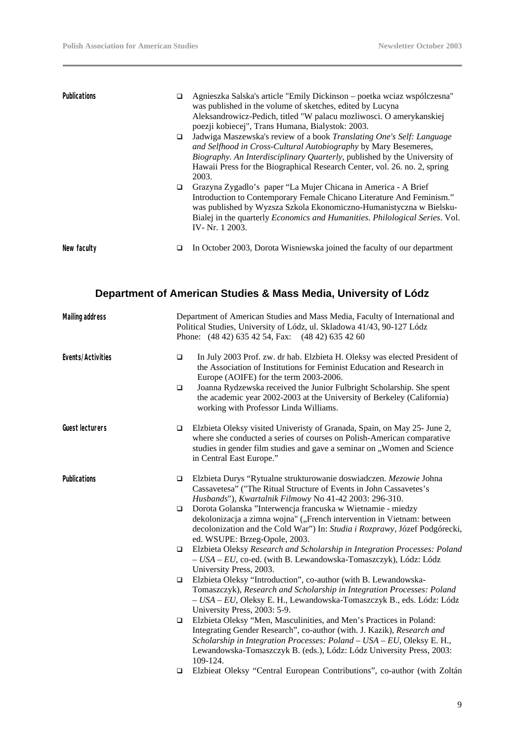| <b>Publications</b> | ❏<br>▫ | Agnieszka Salska's article "Emily Dickinson – poetka wciaz współczesna"<br>was published in the volume of sketches, edited by Lucyna<br>Aleksandrowicz-Pedich, titled "W palacu mozliwosci. O amerykanskiej<br>poezji kobiecej", Trans Humana, Bialystok: 2003.<br>Jadwiga Maszewska's review of a book Translating One's Self: Language<br>and Selfhood in Cross-Cultural Autobiography by Mary Besemeres,<br>Biography. An Interdisciplinary Quarterly, published by the University of<br>Hawaii Press for the Biographical Research Center, vol. 26. no. 2, spring<br>2003. |
|---------------------|--------|--------------------------------------------------------------------------------------------------------------------------------------------------------------------------------------------------------------------------------------------------------------------------------------------------------------------------------------------------------------------------------------------------------------------------------------------------------------------------------------------------------------------------------------------------------------------------------|
|                     | □      | Grazyna Zygadlo's paper "La Mujer Chicana in America - A Brief<br>Introduction to Contemporary Female Chicano Literature And Feminism."<br>was published by Wyzsza Szkola Ekonomiczno-Humanistyczna w Bielsku-<br>Bialej in the quarterly <i>Economics and Humanities</i> . <i>Philological Series</i> . Vol.<br>IV-Nr. 1 2003.                                                                                                                                                                                                                                                |
| New faculty         | □      | In October 2003, Dorota Wisniewska joined the faculty of our department                                                                                                                                                                                                                                                                                                                                                                                                                                                                                                        |

## **Department of American Studies & Mass Media, University of Lódz**

| <b>Mailing address</b> |        | Department of American Studies and Mass Media, Faculty of International and<br>Political Studies, University of Lódz, ul. Skladowa 41/43, 90-127 Lódz<br>Phone: (48 42) 635 42 54, Fax: (48 42) 635 42 60                                                                                                   |
|------------------------|--------|-------------------------------------------------------------------------------------------------------------------------------------------------------------------------------------------------------------------------------------------------------------------------------------------------------------|
| Events/Activities      | $\Box$ | In July 2003 Prof. zw. dr hab. Elzbieta H. Oleksy was elected President of<br>the Association of Institutions for Feminist Education and Research in<br>Europe (AOIFE) for the term 2003-2006.                                                                                                              |
|                        | $\Box$ | Joanna Rydzewska received the Junior Fulbright Scholarship. She spent<br>the academic year 2002-2003 at the University of Berkeley (California)<br>working with Professor Linda Williams.                                                                                                                   |
| <b>Guest lecturers</b> | □      | Elzbieta Oleksy visited Univeristy of Granada, Spain, on May 25- June 2,<br>where she conducted a series of courses on Polish-American comparative<br>studies in gender film studies and gave a seminar on "Women and Science<br>in Central East Europe."                                                   |
| <b>Publications</b>    | □      | Elzbieta Durys "Rytualne strukturowanie doswiadczen. Mezowie Johna<br>Cassavetesa" ("The Ritual Structure of Events in John Cassavetes's<br>Husbands"), Kwartalnik Filmowy No 41-42 2003: 296-310.                                                                                                          |
|                        | $\Box$ | Dorota Golanska "Interwencja francuska w Wietnamie - miedzy<br>dekolonizacja a zimna wojna" ("French intervention in Vietnam: between<br>decolonization and the Cold War") In: Studia i Rozprawy, Józef Podgórecki,<br>ed. WSUPE: Brzeg-Opole, 2003.                                                        |
|                        | $\Box$ | Elzbieta Oleksy Research and Scholarship in Integration Processes: Poland<br>- USA - EU, co-ed. (with B. Lewandowska-Tomaszczyk), Lódz: Lódz<br>University Press, 2003.                                                                                                                                     |
|                        | □      | Elzbieta Oleksy "Introduction", co-author (with B. Lewandowska-<br>Tomaszczyk), Research and Scholarship in Integration Processes: Poland<br>- USA - EU, Oleksy E. H., Lewandowska-Tomaszczyk B., eds. Lódz: Lódz<br>University Press, 2003: 5-9.                                                           |
|                        | $\Box$ | Elzbieta Oleksy "Men, Masculinities, and Men's Practices in Poland:<br>Integrating Gender Research", co-author (with. J. Kazik), Research and<br>Scholarship in Integration Processes: Poland - USA - EU, Oleksy E. H.,<br>Lewandowska-Tomaszczyk B. (eds.), Lódz: Lódz University Press, 2003:<br>109-124. |
|                        | □      | Elzbieat Oleksy "Central European Contributions", co-author (with Zoltán                                                                                                                                                                                                                                    |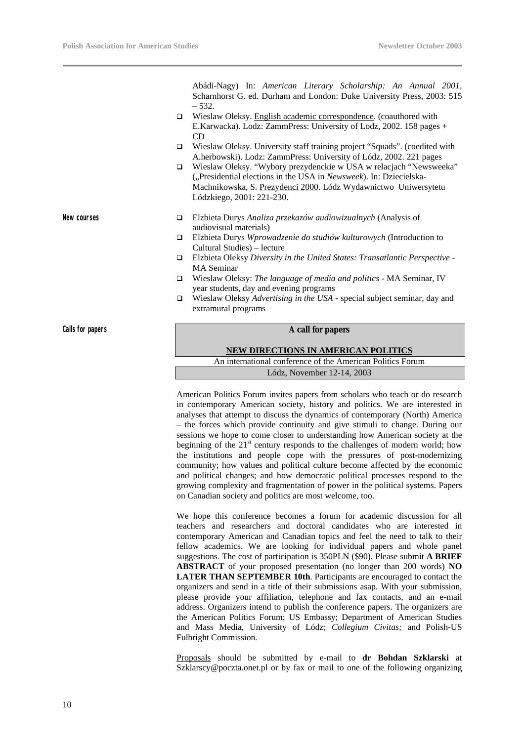Abádi-Nagy) In: *American Literary Scholarship: An Annual 2001,* Scharnhorst G. ed. Durham and London: Duke University Press, 2003: 515 – 532.

- $\Box$  Wieslaw Oleksy. English academic correspondence. (coauthored with E.Karwacka). Lodz: ZammPress: University of Lodz, 2002. 158 pages +  $CD$
- □ Wieslaw Oleksy. University staff training project "Squads". (coedited with A.herbowski). Lodz: ZammPress: University of Lódz, 2002. 221 pages
- q Wieslaw Oleksy. "Wybory prezydenckie w USA w relacjach "Newsweeka" ("Presidential elections in the USA in *Newsweek*). In: Dziecielska-Machnikowska, S. Prezydenci 2000. Lódz Wydawnictwo Uniwersytetu Lódzkiego, 2001: 221-230.
- **New courses** q Elzbieta Durys *Analiza przekazów audiowizualnych* (Analysis of audiovisual materials)
	- q Elzbieta Durys *Wprowadzenie do studiów kulturowych* (Introduction to Cultural Studies) – lecture
	- q Elzbieta Oleksy *Diversity in the United States: Transatlantic Perspective -* MA Seminar
	- q Wieslaw Oleksy: *The language of media and politics*  MA Seminar, IV year students, day and evening programs
	- q Wieslaw Oleksy *Advertising in the USA -* special subject seminar, day and extramural programs

#### **Calls for papers A call for papers**

#### **NEW DIRECTIONS IN AMERICAN POLITICS**

An international conference of the American Politics Forum Lódz, November 12-14, 2003

American Politics Forum invites papers from scholars who teach or do research in contemporary American society, history and politics. We are interested in analyses that attempt to discuss the dynamics of contemporary (North) America – the forces which provide continuity and give stimuli to change. During our sessions we hope to come closer to understanding how American society at the beginning of the  $21<sup>st</sup>$  century responds to the challenges of modern world; how the institutions and people cope with the pressures of post-modernizing community; how values and political culture become affected by the economic and political changes; and how democratic political processes respond to the growing complexity and fragmentation of power in the political systems. Papers on Canadian society and politics are most welcome, too.

We hope this conference becomes a forum for academic discussion for all teachers and researchers and doctoral candidates who are interested in contemporary American and Canadian topics and feel the need to talk to their fellow academics. We are looking for individual papers and whole panel suggestions. The cost of participation is 350PLN (\$90). Please submit **A BRIEF ABSTRACT** of your proposed presentation (no longer than 200 words) **NO LATER THAN SEPTEMBER 10th**. Participants are encouraged to contact the organizers and send in a title of their submissions asap. With your submission, please provide your affiliation, telephone and fax contacts, and an e-mail address. Organizers intend to publish the conference papers. The organizers are the American Politics Forum; US Embassy; Department of American Studies and Mass Media, University of Lódz; *Collegium Civitas;* and Polish-US Fulbright Commission.

Proposals should be submitted by e-mail to **dr Bohdan Szklarski** at Szklarscy@poczta.onet.pl or by fax or mail to one of the following organizing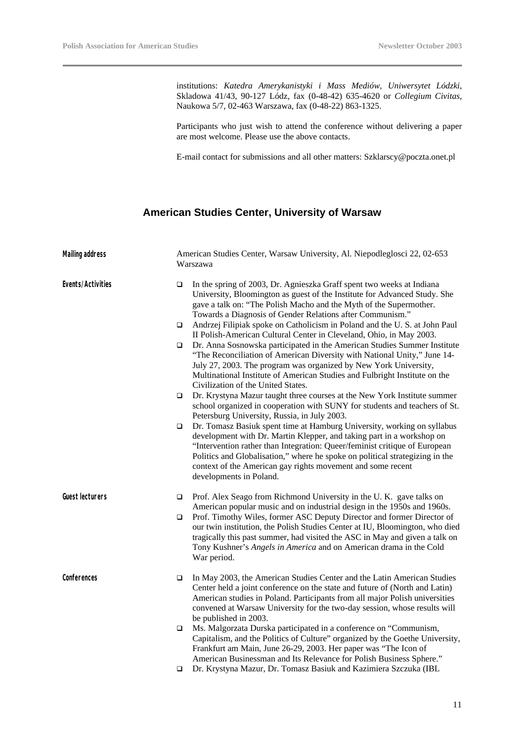institutions: *Katedra Amerykanistyki i Mass Mediów, Uniwersytet Lódzki*, Skladowa 41/43, 90-127 Lódz, fax (0-48-42) 635-4620 or *Collegium Civitas*, Naukowa 5/7, 02-463 Warszawa, fax (0-48-22) 863-1325.

Participants who just wish to attend the conference without delivering a paper are most welcome. Please use the above contacts.

E-mail contact for submissions and all other matters: Szklarscy@poczta.onet.pl

#### **American Studies Center, University of Warsaw**

| <b>Mailing address</b> |        | American Studies Center, Warsaw University, Al. Niepodleglosci 22, 02-653<br>Warszawa                                                                                                                                                                                                                                                                                                                    |  |
|------------------------|--------|----------------------------------------------------------------------------------------------------------------------------------------------------------------------------------------------------------------------------------------------------------------------------------------------------------------------------------------------------------------------------------------------------------|--|
| Events/Activities      | $\Box$ | In the spring of 2003, Dr. Agnieszka Graff spent two weeks at Indiana<br>University, Bloomington as guest of the Institute for Advanced Study. She<br>gave a talk on: "The Polish Macho and the Myth of the Supermother.<br>Towards a Diagnosis of Gender Relations after Communism."                                                                                                                    |  |
|                        | □      | Andrzej Filipiak spoke on Catholicism in Poland and the U.S. at John Paul<br>II Polish-American Cultural Center in Cleveland, Ohio, in May 2003.                                                                                                                                                                                                                                                         |  |
|                        | □      | Dr. Anna Sosnowska participated in the American Studies Summer Institute<br>"The Reconciliation of American Diversity with National Unity," June 14-<br>July 27, 2003. The program was organized by New York University,<br>Multinational Institute of American Studies and Fulbright Institute on the<br>Civilization of the United States.                                                             |  |
|                        | □      | Dr. Krystyna Mazur taught three courses at the New York Institute summer<br>school organized in cooperation with SUNY for students and teachers of St.<br>Petersburg University, Russia, in July 2003.                                                                                                                                                                                                   |  |
|                        | □      | Dr. Tomasz Basiuk spent time at Hamburg University, working on syllabus<br>development with Dr. Martin Klepper, and taking part in a workshop on<br>"Intervention rather than Integration: Queer/feminist critique of European<br>Politics and Globalisation," where he spoke on political strategizing in the<br>context of the American gay rights movement and some recent<br>developments in Poland. |  |
| Guest lecturers        | □      | Prof. Alex Seago from Richmond University in the U.K. gave talks on                                                                                                                                                                                                                                                                                                                                      |  |
|                        | □      | American popular music and on industrial design in the 1950s and 1960s.<br>Prof. Timothy Wiles, former ASC Deputy Director and former Director of<br>our twin institution, the Polish Studies Center at IU, Bloomington, who died<br>tragically this past summer, had visited the ASC in May and given a talk on<br>Tony Kushner's Angels in America and on American drama in the Cold<br>War period.    |  |
| Conferences            | □      | In May 2003, the American Studies Center and the Latin American Studies<br>Center held a joint conference on the state and future of (North and Latin)<br>American studies in Poland. Participants from all major Polish universities<br>convened at Warsaw University for the two-day session, whose results will<br>be published in 2003.                                                              |  |
|                        | $\Box$ | Ms. Malgorzata Durska participated in a conference on "Communism,<br>Capitalism, and the Politics of Culture" organized by the Goethe University,<br>Frankfurt am Main, June 26-29, 2003. Her paper was "The Icon of<br>American Businessman and Its Relevance for Polish Business Sphere."                                                                                                              |  |
|                        | ❏      | Dr. Krystyna Mazur, Dr. Tomasz Basiuk and Kazimiera Szczuka (IBL                                                                                                                                                                                                                                                                                                                                         |  |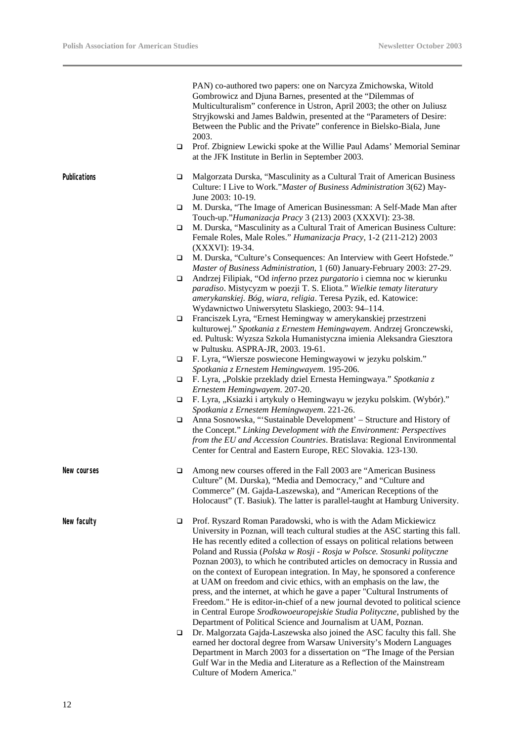$\overline{\phantom{0}}$ 

|                     |                  | PAN) co-authored two papers: one on Narcyza Zmichowska, Witold<br>Gombrowicz and Djuna Barnes, presented at the "Dilemmas of<br>Multiculturalism" conference in Ustron, April 2003; the other on Juliusz<br>Stryjkowski and James Baldwin, presented at the "Parameters of Desire:<br>Between the Public and the Private" conference in Bielsko-Biala, June<br>2003.                                                                                                                                                                                                                                                                                                                                                                                                                                                                                                                                                                                                                                                |
|---------------------|------------------|---------------------------------------------------------------------------------------------------------------------------------------------------------------------------------------------------------------------------------------------------------------------------------------------------------------------------------------------------------------------------------------------------------------------------------------------------------------------------------------------------------------------------------------------------------------------------------------------------------------------------------------------------------------------------------------------------------------------------------------------------------------------------------------------------------------------------------------------------------------------------------------------------------------------------------------------------------------------------------------------------------------------|
|                     | $\Box$           | Prof. Zbigniew Lewicki spoke at the Willie Paul Adams' Memorial Seminar<br>at the JFK Institute in Berlin in September 2003.                                                                                                                                                                                                                                                                                                                                                                                                                                                                                                                                                                                                                                                                                                                                                                                                                                                                                        |
| <b>Publications</b> | □                | Malgorzata Durska, "Masculinity as a Cultural Trait of American Business<br>Culture: I Live to Work." Master of Business Administration 3(62) May-<br>June 2003: 10-19.                                                                                                                                                                                                                                                                                                                                                                                                                                                                                                                                                                                                                                                                                                                                                                                                                                             |
|                     | □                | M. Durska, "The Image of American Businessman: A Self-Made Man after<br>Touch-up."Humanizacja Pracy 3 (213) 2003 (XXXVI): 23-38.                                                                                                                                                                                                                                                                                                                                                                                                                                                                                                                                                                                                                                                                                                                                                                                                                                                                                    |
|                     | □                | M. Durska, "Masculinity as a Cultural Trait of American Business Culture:<br>Female Roles, Male Roles." Humanizacja Pracy, 1-2 (211-212) 2003<br>(XXXVI): 19-34.                                                                                                                                                                                                                                                                                                                                                                                                                                                                                                                                                                                                                                                                                                                                                                                                                                                    |
|                     | ▫                | M. Durska, "Culture's Consequences: An Interview with Geert Hofstede."<br>Master of Business Administration, 1 (60) January-February 2003: 27-29.                                                                                                                                                                                                                                                                                                                                                                                                                                                                                                                                                                                                                                                                                                                                                                                                                                                                   |
|                     | □                | Andrzej Filipiak, "Od inferno przez purgatorio i ciemna noc w kierunku<br>paradiso. Mistycyzm w poezji T. S. Eliota." Wielkie tematy literatury<br>amerykanskiej. Bóg, wiara, religia. Teresa Pyzik, ed. Katowice:<br>Wydawnictwo Uniwersytetu Slaskiego, 2003: 94-114.                                                                                                                                                                                                                                                                                                                                                                                                                                                                                                                                                                                                                                                                                                                                             |
|                     | □                | Franciszek Lyra, "Ernest Hemingway w amerykanskiej przestrzeni<br>kulturowej." Spotkania z Ernestem Hemingwayem. Andrzej Gronczewski,<br>ed. Pultusk: Wyzsza Szkola Humanistyczna imienia Aleksandra Giesztora<br>w Pultusku. ASPRA-JR, 2003. 19-61.                                                                                                                                                                                                                                                                                                                                                                                                                                                                                                                                                                                                                                                                                                                                                                |
|                     | $\Box$           | F. Lyra, "Wiersze poswiecone Hemingwayowi w jezyku polskim."<br>Spotkania z Ernestem Hemingwayem. 195-206.                                                                                                                                                                                                                                                                                                                                                                                                                                                                                                                                                                                                                                                                                                                                                                                                                                                                                                          |
|                     | ▫                | F. Lyra, "Polskie przeklady dziel Ernesta Hemingwaya." Spotkania z<br>Ernestem Hemingwayem. 207-20.                                                                                                                                                                                                                                                                                                                                                                                                                                                                                                                                                                                                                                                                                                                                                                                                                                                                                                                 |
|                     | □                | F. Lyra, "Ksiazki i artykuly o Hemingwayu w jezyku polskim. (Wybór)."<br>Spotkania z Ernestem Hemingwayem. 221-26.                                                                                                                                                                                                                                                                                                                                                                                                                                                                                                                                                                                                                                                                                                                                                                                                                                                                                                  |
|                     | □                | Anna Sosnowska, "'Sustainable Development' - Structure and History of<br>the Concept." Linking Development with the Environment: Perspectives<br>from the EU and Accession Countries. Bratislava: Regional Environmental<br>Center for Central and Eastern Europe, REC Slovakia. 123-130.                                                                                                                                                                                                                                                                                                                                                                                                                                                                                                                                                                                                                                                                                                                           |
| New courses         |                  | Among new courses offered in the Fall 2003 are "American Business<br>Culture" (M. Durska), "Media and Democracy," and "Culture and<br>Commerce" (M. Gajda-Laszewska), and "American Receptions of the<br>Holocaust" (T. Basiuk). The latter is parallel-taught at Hamburg University.                                                                                                                                                                                                                                                                                                                                                                                                                                                                                                                                                                                                                                                                                                                               |
| New faculty         | $\Box$<br>$\Box$ | Prof. Ryszard Roman Paradowski, who is with the Adam Mickiewicz<br>University in Poznan, will teach cultural studies at the ASC starting this fall.<br>He has recently edited a collection of essays on political relations between<br>Poland and Russia (Polska w Rosji - Rosja w Polsce. Stosunki polityczne<br>Poznan 2003), to which he contributed articles on democracy in Russia and<br>on the context of European integration. In May, he sponsored a conference<br>at UAM on freedom and civic ethics, with an emphasis on the law, the<br>press, and the internet, at which he gave a paper "Cultural Instruments of<br>Freedom." He is editor-in-chief of a new journal devoted to political science<br>in Central Europe Srodkowoeuropejskie Studia Polityczne, published by the<br>Department of Political Science and Journalism at UAM, Poznan.<br>Dr. Malgorzata Gajda-Laszewska also joined the ASC faculty this fall. She<br>earned her doctoral degree from Warsaw University's Modern Languages |
|                     |                  | Department in March 2003 for a dissertation on "The Image of the Persian<br>Gulf War in the Media and Literature as a Reflection of the Mainstream<br>Culture of Modern America."                                                                                                                                                                                                                                                                                                                                                                                                                                                                                                                                                                                                                                                                                                                                                                                                                                   |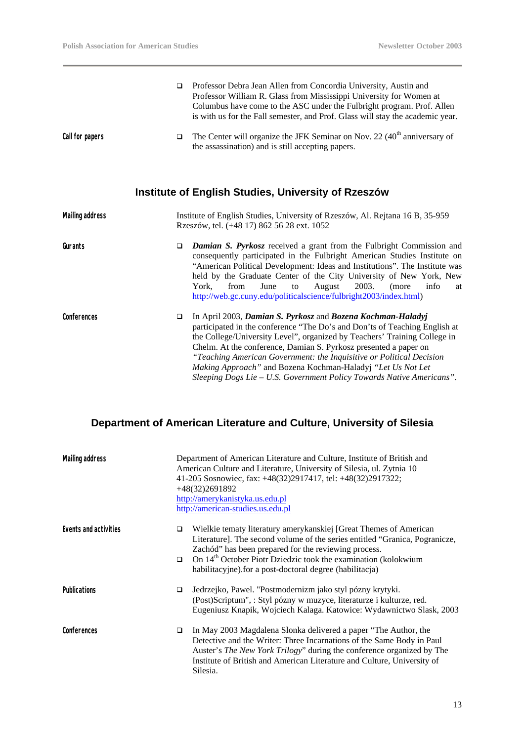|                        | ▫      | Professor Debra Jean Allen from Concordia University, Austin and<br>Professor William R. Glass from Mississippi University for Women at<br>Columbus have come to the ASC under the Fulbright program. Prof. Allen<br>is with us for the Fall semester, and Prof. Glass will stay the academic year.                                                                                                                                                                                                        |
|------------------------|--------|------------------------------------------------------------------------------------------------------------------------------------------------------------------------------------------------------------------------------------------------------------------------------------------------------------------------------------------------------------------------------------------------------------------------------------------------------------------------------------------------------------|
| Call for papers        | □      | The Center will organize the JFK Seminar on Nov. 22 $(40th$ anniversary of<br>the assassination) and is still accepting papers.                                                                                                                                                                                                                                                                                                                                                                            |
|                        |        | Institute of English Studies, University of Rzeszów                                                                                                                                                                                                                                                                                                                                                                                                                                                        |
| <b>Mailing address</b> |        | Institute of English Studies, University of Rzeszów, Al. Rejtana 16 B, 35-959<br>Rzeszów, tel. (+48 17) 862 56 28 ext. 1052                                                                                                                                                                                                                                                                                                                                                                                |
| Gurants                | $\Box$ | <b>Damian S. Pyrkosz</b> received a grant from the Fulbright Commission and<br>consequently participated in the Fulbright American Studies Institute on<br>"American Political Development: Ideas and Institutions". The Institute was<br>held by the Graduate Center of the City University of New York, New<br>June<br>2003.<br>York.<br>from<br>August<br>info<br>(more<br>to<br>at<br>http://web.gc.cuny.edu/politicalscience/fulbright2003/index.html)                                                |
| Conferences            | □      | In April 2003, Damian S. Pyrkosz and Bozena Kochman-Haladyj<br>participated in the conference "The Do's and Don'ts of Teaching English at<br>the College/University Level", organized by Teachers' Training College in<br>Chelm. At the conference, Damian S. Pyrkosz presented a paper on<br>"Teaching American Government: the Inquisitive or Political Decision<br>Making Approach" and Bozena Kochman-Haladyj "Let Us Not Let<br>Sleeping Dogs Lie - U.S. Government Policy Towards Native Americans". |

# **Department of American Literature and Culture, University of Silesia**

| <b>Mailing address</b> |             | Department of American Literature and Culture, Institute of British and<br>American Culture and Literature, University of Silesia, ul. Zytnia 10<br>41-205 Sosnowiec, fax: +48(32)2917417, tel: +48(32)2917322;<br>$+48(32)2691892$<br>http://amerykanistyka.us.edu.pl<br>http://american-studies.us.edu.pl                                        |
|------------------------|-------------|----------------------------------------------------------------------------------------------------------------------------------------------------------------------------------------------------------------------------------------------------------------------------------------------------------------------------------------------------|
| Events and activities  | □<br>$\Box$ | Wielkie tematy literatury amerykanskiej [Great Themes of American<br>Literature]. The second volume of the series entitled "Granica, Pogranicze,<br>Zachód" has been prepared for the reviewing process.<br>On 14 <sup>th</sup> October Piotr Dziedzic took the examination (kolokwium<br>habilitacyjne). for a post-doctoral degree (habilitacja) |
| <b>Publications</b>    | ◘           | Jedrzejko, Pawel. "Postmodernizm jako styl pózny krytyki.<br>(Post)Scriptum", : Styl pózny w muzyce, literaturze i kulturze, red.<br>Eugeniusz Knapik, Wojciech Kalaga. Katowice: Wydawnictwo Slask, 2003                                                                                                                                          |
| Conferences            | □           | In May 2003 Magdalena Slonka delivered a paper "The Author, the<br>Detective and the Writer: Three Incarnations of the Same Body in Paul<br>Auster's The New York Trilogy" during the conference organized by The<br>Institute of British and American Literature and Culture, University of<br>Silesia.                                           |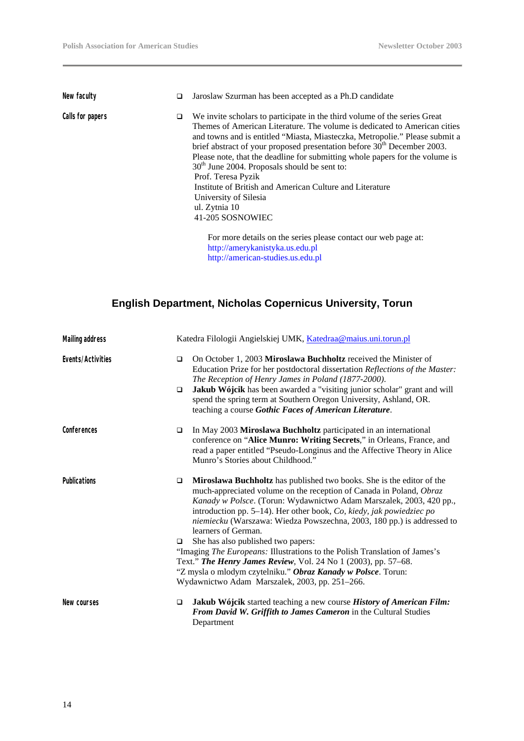| New faculty      | □ | Jaroslaw Szurman has been accepted as a Ph.D candidate                                                                                                                                                                                                                                                                                                                                                                                                                                                                                                                                                         |
|------------------|---|----------------------------------------------------------------------------------------------------------------------------------------------------------------------------------------------------------------------------------------------------------------------------------------------------------------------------------------------------------------------------------------------------------------------------------------------------------------------------------------------------------------------------------------------------------------------------------------------------------------|
| Calls for papers | □ | We invite scholars to participate in the third volume of the series Great<br>Themes of American Literature. The volume is dedicated to American cities<br>and towns and is entitled "Miasta, Miasteczka, Metropolie." Please submit a<br>brief abstract of your proposed presentation before 30 <sup>th</sup> December 2003.<br>Please note, that the deadline for submitting whole papers for the volume is<br>$30th$ June 2004. Proposals should be sent to:<br>Prof. Teresa Pyzik<br>Institute of British and American Culture and Literature<br>University of Silesia<br>ul. Zytnia 10<br>41-205 SOSNOWIEC |
|                  |   | For more details on the series please contact our web page at:<br>http://amerykanistyka.us.edu.pl                                                                                                                                                                                                                                                                                                                                                                                                                                                                                                              |

http://american-studies.us.edu.pl

## **English Department, Nicholas Copernicus University, Torun**

| <b>Mailing address</b> |             | Katedra Filologii Angielskiej UMK, Katedraa@maius.uni.torun.pl                                                                                                                                                                                                                                                                                                                                                                                                                                                                                                                                                                                                                                          |  |
|------------------------|-------------|---------------------------------------------------------------------------------------------------------------------------------------------------------------------------------------------------------------------------------------------------------------------------------------------------------------------------------------------------------------------------------------------------------------------------------------------------------------------------------------------------------------------------------------------------------------------------------------------------------------------------------------------------------------------------------------------------------|--|
| Events/Activities      | $\Box$<br>□ | On October 1, 2003 Miroslawa Buchholtz received the Minister of<br>Education Prize for her postdoctoral dissertation Reflections of the Master:<br>The Reception of Henry James in Poland (1877-2000).<br>Jakub Wójcik has been awarded a "visiting junior scholar" grant and will<br>spend the spring term at Southern Oregon University, Ashland, OR.<br>teaching a course Gothic Faces of American Literature.                                                                                                                                                                                                                                                                                       |  |
| Conferences            | $\Box$      | In May 2003 Miroslawa Buchholtz participated in an international<br>conference on "Alice Munro: Writing Secrets," in Orleans, France, and<br>read a paper entitled "Pseudo-Longinus and the Affective Theory in Alice<br>Munro's Stories about Childhood."                                                                                                                                                                                                                                                                                                                                                                                                                                              |  |
| <b>Publications</b>    | □<br>□      | Miroslawa Buchholtz has published two books. She is the editor of the<br>much-appreciated volume on the reception of Canada in Poland, Obraz<br>Kanady w Polsce. (Torun: Wydawnictwo Adam Marszalek, 2003, 420 pp.,<br>introduction pp. 5–14). Her other book, $Co$ , kiedy, jak powiedziec po<br>niemiecku (Warszawa: Wiedza Powszechna, 2003, 180 pp.) is addressed to<br>learners of German.<br>She has also published two papers:<br>"Imaging The Europeans: Illustrations to the Polish Translation of James's<br>Text." The Henry James Review, Vol. 24 No 1 (2003), pp. 57-68.<br>"Z mysla o mlodym czytelniku." Obraz Kanady w Polsce. Torun:<br>Wydawnictwo Adam Marszalek, 2003, pp. 251-266. |  |
| New courses            | □           | Jakub Wójcik started teaching a new course History of American Film:<br>From David W. Griffith to James Cameron in the Cultural Studies<br>Department                                                                                                                                                                                                                                                                                                                                                                                                                                                                                                                                                   |  |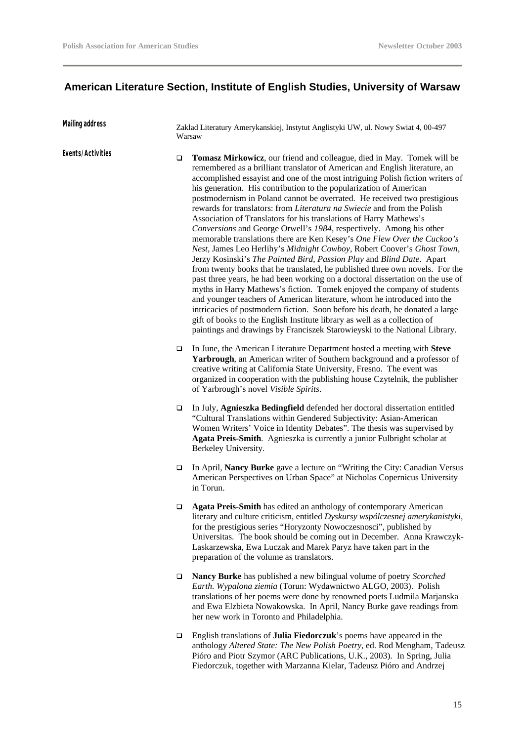# **American Literature Section, Institute of English Studies, University of Warsaw**

| Mailing address   |        | Zaklad Literatury Amerykanskiej, Instytut Anglistyki UW, ul. Nowy Swiat 4, 00-497<br>Warsaw                                                                                                                                                                                                                                                                                                                                                                                                                                                                                                                                                                                                                                                                                                                                                                                                                                                                                                                                                                                                                                                                                                                                                                                                                                                                                                                         |  |  |
|-------------------|--------|---------------------------------------------------------------------------------------------------------------------------------------------------------------------------------------------------------------------------------------------------------------------------------------------------------------------------------------------------------------------------------------------------------------------------------------------------------------------------------------------------------------------------------------------------------------------------------------------------------------------------------------------------------------------------------------------------------------------------------------------------------------------------------------------------------------------------------------------------------------------------------------------------------------------------------------------------------------------------------------------------------------------------------------------------------------------------------------------------------------------------------------------------------------------------------------------------------------------------------------------------------------------------------------------------------------------------------------------------------------------------------------------------------------------|--|--|
| Events/Activities | □      | Tomasz Mirkowicz, our friend and colleague, died in May. Tomek will be<br>remembered as a brilliant translator of American and English literature, an<br>accomplished essayist and one of the most intriguing Polish fiction writers of<br>his generation. His contribution to the popularization of American<br>postmodernism in Poland cannot be overrated. He received two prestigious<br>rewards for translators: from Literatura na Swiecie and from the Polish<br>Association of Translators for his translations of Harry Mathews's<br>Conversions and George Orwell's 1984, respectively. Among his other<br>memorable translations there are Ken Kesey's One Flew Over the Cuckoo's<br>Nest, James Leo Herlihy's Midnight Cowboy, Robert Coover's Ghost Town,<br>Jerzy Kosinski's The Painted Bird, Passion Play and Blind Date. Apart<br>from twenty books that he translated, he published three own novels. For the<br>past three years, he had been working on a doctoral dissertation on the use of<br>myths in Harry Mathews's fiction. Tomek enjoyed the company of students<br>and younger teachers of American literature, whom he introduced into the<br>intricacies of postmodern fiction. Soon before his death, he donated a large<br>gift of books to the English Institute library as well as a collection of<br>paintings and drawings by Franciszek Starowieyski to the National Library. |  |  |
|                   | $\Box$ | In June, the American Literature Department hosted a meeting with Steve<br>Yarbrough, an American writer of Southern background and a professor of<br>creative writing at California State University, Fresno. The event was<br>organized in cooperation with the publishing house Czytelnik, the publisher<br>of Yarbrough's novel Visible Spirits.                                                                                                                                                                                                                                                                                                                                                                                                                                                                                                                                                                                                                                                                                                                                                                                                                                                                                                                                                                                                                                                                |  |  |
|                   | $\Box$ | In July, Agnieszka Bedingfield defended her doctoral dissertation entitled<br>"Cultural Translations within Gendered Subjectivity: Asian-American<br>Women Writers' Voice in Identity Debates". The thesis was supervised by<br>Agata Preis-Smith. Agnieszka is currently a junior Fulbright scholar at<br>Berkeley University.                                                                                                                                                                                                                                                                                                                                                                                                                                                                                                                                                                                                                                                                                                                                                                                                                                                                                                                                                                                                                                                                                     |  |  |
|                   | □      | In April, Nancy Burke gave a lecture on "Writing the City: Canadian Versus<br>American Perspectives on Urban Space" at Nicholas Copernicus University<br>in Torun.                                                                                                                                                                                                                                                                                                                                                                                                                                                                                                                                                                                                                                                                                                                                                                                                                                                                                                                                                                                                                                                                                                                                                                                                                                                  |  |  |
|                   | ❏      | Agata Preis-Smith has edited an anthology of contemporary American<br>literary and culture criticism, entitled Dyskursy współczesnej amerykanistyki,<br>for the prestigious series "Horyzonty Nowoczesnosci", published by<br>Universitas. The book should be coming out in December. Anna Krawczyk-<br>Laskarzewska, Ewa Luczak and Marek Paryz have taken part in the<br>preparation of the volume as translators.                                                                                                                                                                                                                                                                                                                                                                                                                                                                                                                                                                                                                                                                                                                                                                                                                                                                                                                                                                                                |  |  |
|                   | $\Box$ | Nancy Burke has published a new bilingual volume of poetry Scorched<br>Earth. Wypalona ziemia (Torun: Wydawnictwo ALGO, 2003). Polish<br>translations of her poems were done by renowned poets Ludmila Marjanska<br>and Ewa Elzbieta Nowakowska. In April, Nancy Burke gave readings from<br>her new work in Toronto and Philadelphia.                                                                                                                                                                                                                                                                                                                                                                                                                                                                                                                                                                                                                                                                                                                                                                                                                                                                                                                                                                                                                                                                              |  |  |
|                   | $\Box$ | English translations of Julia Fiedorczuk's poems have appeared in the<br>anthology Altered State: The New Polish Poetry, ed. Rod Mengham, Tadeusz<br>Pióro and Piotr Szymor (ARC Publications, U.K., 2003). In Spring, Julia<br>Fiedorczuk, together with Marzanna Kielar, Tadeusz Pióro and Andrzej                                                                                                                                                                                                                                                                                                                                                                                                                                                                                                                                                                                                                                                                                                                                                                                                                                                                                                                                                                                                                                                                                                                |  |  |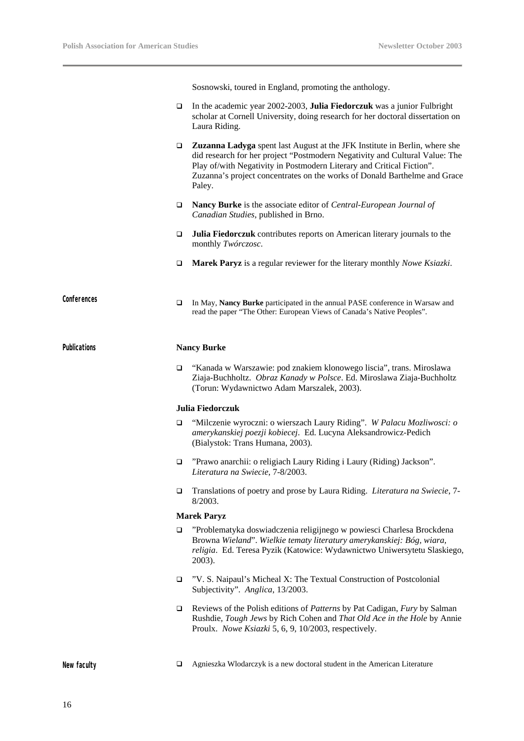Sosnowski, toured in England, promoting the anthology.

q In the academic year 2002-2003, **Julia Fiedorczuk** was a junior Fulbright scholar at Cornell University, doing research for her doctoral dissertation on Laura Riding. q **Zuzanna Ladyga** spent last August at the JFK Institute in Berlin, where she did research for her project "Postmodern Negativity and Cultural Value: The Play of/with Negativity in Postmodern Literary and Critical Fiction". Zuzanna's project concentrates on the works of Donald Barthelme and Grace Paley. q **Nancy Burke** is the associate editor of *Central-European Journal of Canadian Studies*, published in Brno. q **Julia Fiedorczuk** contributes reports on American literary journals to the monthly *Twórczosc*. q **Marek Paryz** is a regular reviewer for the literary monthly *Nowe Ksiazki*. Conferences **□** In May, **Nancy Burke** participated in the annual PASE conference in Warsaw and read the paper "The Other: European Views of Canada's Native Peoples". **Publications Nancy Burke**  q "Kanada w Warszawie: pod znakiem klonowego liscia", trans. Miroslawa Ziaja-Buchholtz. *Obraz Kanady w Polsce*. Ed. Miroslawa Ziaja-Buchholtz (Torun: Wydawnictwo Adam Marszalek, 2003). **Julia Fiedorczuk** q "Milczenie wyroczni: o wierszach Laury Riding". *W Palacu Mozliwosci: o amerykanskiej poezji kobiecej*. Ed. Lucyna Aleksandrowicz-Pedich (Bialystok: Trans Humana, 2003). □ "Prawo anarchii: o religiach Laury Riding i Laury (Riding) Jackson". *Literatura na Swiecie*, 7-8/2003. q Translations of poetry and prose by Laura Riding. *Literatura na Swiecie*, 7- 8/2003. **Marek Paryz** □ "Problematyka doswiadczenia religijnego w powiesci Charlesa Brockdena Browna *Wieland*". *Wielkie tematy literatury amerykanskiej: Bóg, wiara, religia*. Ed. Teresa Pyzik (Katowice: Wydawnictwo Uniwersytetu Slaskiego, 2003). q "V. S. Naipaul's Micheal X: The Textual Construction of Postcolonial Subjectivity". *Anglica*, 13/2003. q Reviews of the Polish editions of *Patterns* by Pat Cadigan, *Fury* by Salman Rushdie, *Tough Jews* by Rich Cohen and *That Old Ace in the Hole* by Annie Proulx. *Nowe Ksiazki* 5, 6, 9, 10/2003, respectively.

**New faculty Q** Agnieszka Wlodarczyk is a new doctoral student in the American Literature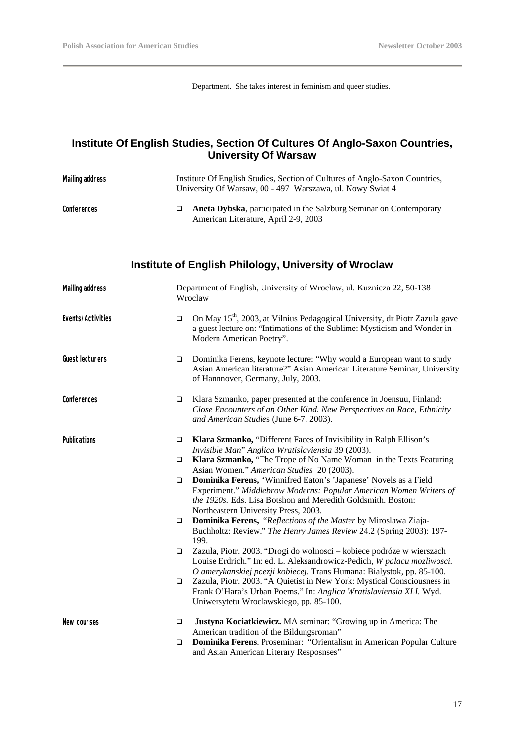Department. She takes interest in feminism and queer studies.

#### **Institute Of English Studies, Section Of Cultures Of Anglo-Saxon Countries, University Of Warsaw**

| <b>Mailing address</b> | Institute Of English Studies, Section of Cultures of Anglo-Saxon Countries,<br>University Of Warsaw, 00 - 497 Warszawa, ul. Nowy Swiat 4 |                                                                                                                                                                                                                                                                   |
|------------------------|------------------------------------------------------------------------------------------------------------------------------------------|-------------------------------------------------------------------------------------------------------------------------------------------------------------------------------------------------------------------------------------------------------------------|
| Conferences            | ❏                                                                                                                                        | Aneta Dybska, participated in the Salzburg Seminar on Contemporary<br>American Literature, April 2-9, 2003                                                                                                                                                        |
|                        |                                                                                                                                          | <b>Institute of English Philology, University of Wroclaw</b>                                                                                                                                                                                                      |
| <b>Mailing address</b> |                                                                                                                                          | Department of English, University of Wroclaw, ul. Kuznicza 22, 50-138<br>Wroclaw                                                                                                                                                                                  |
| Events/Activities      | $\Box$                                                                                                                                   | On May 15 <sup>th</sup> , 2003, at Vilnius Pedagogical University, dr Piotr Zazula gave<br>a guest lecture on: "Intimations of the Sublime: Mysticism and Wonder in<br>Modern American Poetry".                                                                   |
| <b>Guest lecturers</b> | □                                                                                                                                        | Dominika Ferens, keynote lecture: "Why would a European want to study<br>Asian American literature?" Asian American Literature Seminar, University<br>of Hannnover, Germany, July, 2003.                                                                          |
| Conferences            | $\Box$                                                                                                                                   | Klara Szmanko, paper presented at the conference in Joensuu, Finland:<br>Close Encounters of an Other Kind. New Perspectives on Race, Ethnicity<br>and American Studies (June 6-7, 2003).                                                                         |
| <b>Publications</b>    | $\Box$                                                                                                                                   | Klara Szmanko, "Different Faces of Invisibility in Ralph Ellison's<br>Invisible Man" Anglica Wratislaviensia 39 (2003).                                                                                                                                           |
|                        | ❏                                                                                                                                        | Klara Szmanko, "The Trope of No Name Woman in the Texts Featuring<br>Asian Women." American Studies 20 (2003).                                                                                                                                                    |
|                        | □                                                                                                                                        | Dominika Ferens, "Winnifred Eaton's 'Japanese' Novels as a Field<br>Experiment." Middlebrow Moderns: Popular American Women Writers of<br>the 1920s. Eds. Lisa Botshon and Meredith Goldsmith. Boston:<br>Northeastern University Press, 2003.                    |
|                        | □                                                                                                                                        | Dominika Ferens, "Reflections of the Master by Miroslawa Ziaja-<br>Buchholtz: Review." The Henry James Review 24.2 (Spring 2003): 197-<br>199.                                                                                                                    |
|                        | $\Box$                                                                                                                                   | Zazula, Piotr. 2003. "Drogi do wolnosci – kobiece podróze w wierszach<br>Louise Erdrich." In: ed. L. Aleksandrowicz-Pedich, W palacu mozliwosci.                                                                                                                  |
|                        | □                                                                                                                                        | O amerykanskiej poezji kobiecej. Trans Humana: Bialystok, pp. 85-100.<br>Zazula, Piotr. 2003. "A Quietist in New York: Mystical Consciousness in<br>Frank O'Hara's Urban Poems." In: Anglica Wratislaviensia XLI. Wyd.<br>Uniwersytetu Wroclawskiego, pp. 85-100. |
| New courses            | □                                                                                                                                        | Justyna Kociatkiewicz. MA seminar: "Growing up in America: The<br>American tradition of the Bildungsroman"                                                                                                                                                        |
|                        | □                                                                                                                                        | Dominika Ferens. Proseminar: "Orientalism in American Popular Culture<br>and Asian American Literary Resposnses"                                                                                                                                                  |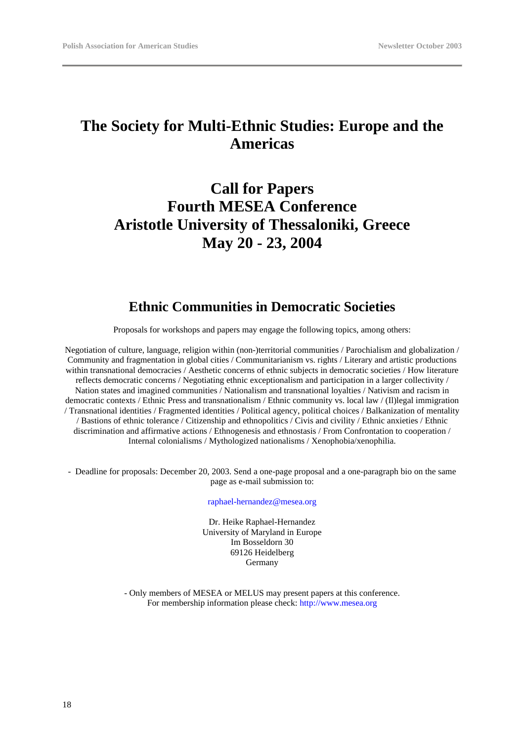# **The Society for Multi-Ethnic Studies: Europe and the Americas**

# **Call for Papers Fourth MESEA Conference Aristotle University of Thessaloniki, Greece May 20 - 23, 2004**

#### **Ethnic Communities in Democratic Societies**

Proposals for workshops and papers may engage the following topics, among others:

Negotiation of culture, language, religion within (non-)territorial communities / Parochialism and globalization / Community and fragmentation in global cities / Communitarianism vs. rights / Literary and artistic productions within transnational democracies / Aesthetic concerns of ethnic subjects in democratic societies / How literature reflects democratic concerns / Negotiating ethnic exceptionalism and participation in a larger collectivity / Nation states and imagined communities / Nationalism and transnational loyalties / Nativism and racism in democratic contexts / Ethnic Press and transnationalism / Ethnic community vs. local law / (Il)legal immigration / Transnational identities / Fragmented identities / Political agency, political choices / Balkanization of mentality / Bastions of ethnic tolerance / Citizenship and ethnopolitics / Civis and civility / Ethnic anxieties / Ethnic discrimination and affirmative actions / Ethnogenesis and ethnostasis / From Confrontation to cooperation / Internal colonialisms / Mythologized nationalisms / Xenophobia/xenophilia.

- Deadline for proposals: December 20, 2003. Send a one-page proposal and a one-paragraph bio on the same page as e-mail submission to:

raphael-hernandez@mesea.org

Dr. Heike Raphael-Hernandez University of Maryland in Europe Im Bosseldorn 30 69126 Heidelberg **Germany** 

- Only members of MESEA or MELUS may present papers at this conference. For membership information please check: http://www.mesea.org